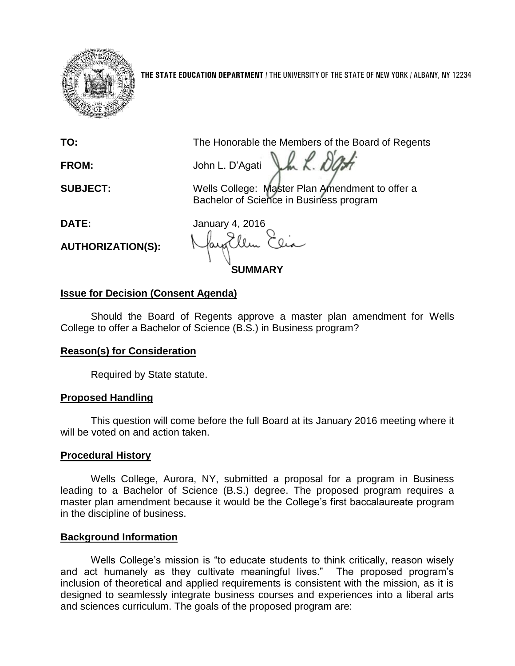

**THE STATE EDUCATION DEPARTMENT** / THE UNIVERSITY OF THE STATE OF NEW YORK / ALBANY, NY 12234

**TO:** The Honorable the Members of the Board of Regents

**FROM:** John L. D'Agati Lh K. D'A

**SUBJECT:** Wells College: Master Plan Amendment to offer a Bachelor of Science in Business program

**AUTHORIZATION(S):**

**DATE:** January 4, 2016

**SUMMARY**

# **Issue for Decision (Consent Agenda)**

Should the Board of Regents approve a master plan amendment for Wells College to offer a Bachelor of Science (B.S.) in Business program?

# **Reason(s) for Consideration**

Required by State statute.

# **Proposed Handling**

This question will come before the full Board at its January 2016 meeting where it will be voted on and action taken.

## **Procedural History**

Wells College, Aurora, NY, submitted a proposal for a program in Business leading to a Bachelor of Science (B.S.) degree. The proposed program requires a master plan amendment because it would be the College's first baccalaureate program in the discipline of business.

# **Background Information**

Wells College's mission is "to educate students to think critically, reason wisely and act humanely as they cultivate meaningful lives." The proposed program's inclusion of theoretical and applied requirements is consistent with the mission, as it is designed to seamlessly integrate business courses and experiences into a liberal arts and sciences curriculum. The goals of the proposed program are: